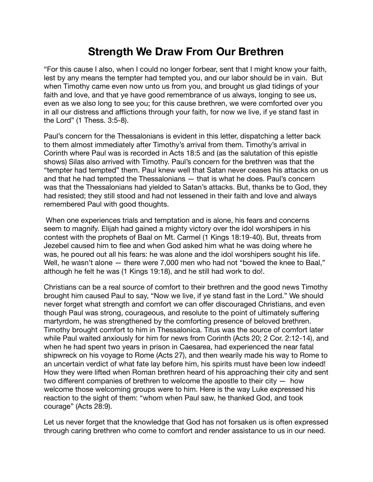## **Strength We Draw From Our Brethren**

"For this cause I also, when I could no longer forbear, sent that I might know your faith, lest by any means the tempter had tempted you, and our labor should be in vain. But when Timothy came even now unto us from you, and brought us glad tidings of your faith and love, and that ye have good remembrance of us always, longing to see us, even as we also long to see you; for this cause brethren, we were comforted over you in all our distress and afflictions through your faith, for now we live, if ye stand fast in the Lord" (1 Thess. 3:5-8).

Paul's concern for the Thessalonians is evident in this letter, dispatching a letter back to them almost immediately after Timothy's arrival from them. Timothy's arrival in Corinth where Paul was is recorded in Acts 18:5 and (as the salutation of this epistle shows) Silas also arrived with Timothy. Paul's concern for the brethren was that the "tempter had tempted" them. Paul knew well that Satan never ceases his attacks on us and that he had tempted the Thessalonians — that is what he does. Paul's concern was that the Thessalonians had yielded to Satan's attacks. But, thanks be to God, they had resisted; they still stood and had not lessened in their faith and love and always remembered Paul with good thoughts.

When one experiences trials and temptation and is alone, his fears and concerns seem to magnify. Elijah had gained a mighty victory over the idol worshipers in his contest with the prophets of Baal on Mt. Carmel (1 Kings 18:19-40). But, threats from Jezebel caused him to flee and when God asked him what he was doing where he was, he poured out all his fears: he was alone and the idol worshipers sought his life. Well, he wasn't alone — there were 7,000 men who had not "bowed the knee to Baal," although he felt he was (1 Kings 19:18), and he still had work to do!.

Christians can be a real source of comfort to their brethren and the good news Timothy brought him caused Paul to say, "Now we live, if ye stand fast in the Lord." We should never forget what strength and comfort we can offer discouraged Christians, and even though Paul was strong, courageous, and resolute to the point of ultimately suffering martyrdom, he was strengthened by the comforting presence of beloved brethren. Timothy brought comfort to him in Thessalonica. Titus was the source of comfort later while Paul waited anxiously for him for news from Corinth (Acts 20; 2 Cor. 2:12-14), and when he had spent two years in prison in Caesarea, had experienced the near fatal shipwreck on his voyage to Rome (Acts 27), and then wearily made his way to Rome to an uncertain verdict of what fate lay before him, his spirits must have been low indeed! How they were lifted when Roman brethren heard of his approaching their city and sent two different companies of brethren to welcome the apostle to their city — how welcome those welcoming groups were to him. Here is the way Luke expressed his reaction to the sight of them: "whom when Paul saw, he thanked God, and took courage" (Acts 28:9).

Let us never forget that the knowledge that God has not forsaken us is often expressed through caring brethren who come to comfort and render assistance to us in our need.